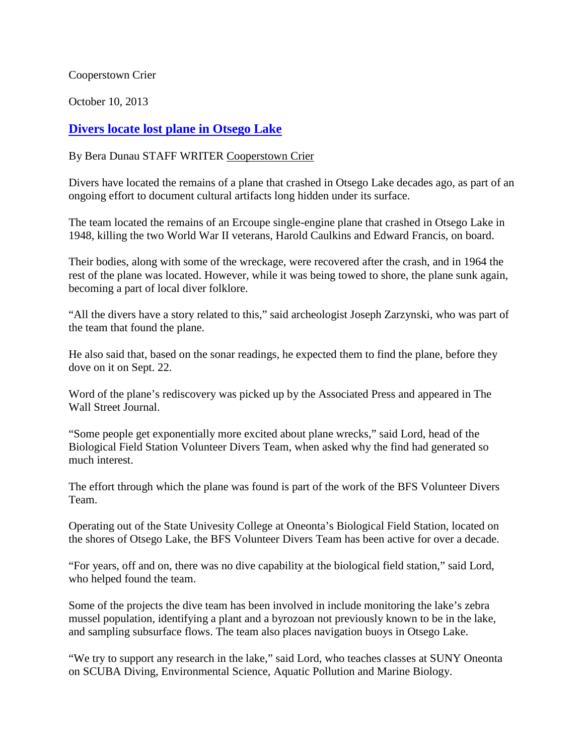Cooperstown Crier

October 10, 2013

## **[Divers locate lost plane in Otsego Lake](http://www.coopercrier.com/localnews/x934958136/Divers-locate-lost-plane-in-Otsego-Lake)**

## By Bera Dunau STAFF WRITER [Cooperstown Crier](http://www.coopercrier.com/)

Divers have located the remains of a plane that crashed in Otsego Lake decades ago, as part of an ongoing effort to document cultural artifacts long hidden under its surface.

The team located the remains of an Ercoupe single-engine plane that crashed in Otsego Lake in 1948, killing the two World War II veterans, Harold Caulkins and Edward Francis, on board.

Their bodies, along with some of the wreckage, were recovered after the crash, and in 1964 the rest of the plane was located. However, while it was being towed to shore, the plane sunk again, becoming a part of local diver folklore.

"All the divers have a story related to this," said archeologist Joseph Zarzynski, who was part of the team that found the plane.

He also said that, based on the sonar readings, he expected them to find the plane, before they dove on it on Sept. 22.

Word of the plane's rediscovery was picked up by the Associated Press and appeared in The Wall Street Journal.

"Some people get exponentially more excited about plane wrecks," said Lord, head of the Biological Field Station Volunteer Divers Team, when asked why the find had generated so much interest.

The effort through which the plane was found is part of the work of the BFS Volunteer Divers Team.

Operating out of the State Univesity College at Oneonta's Biological Field Station, located on the shores of Otsego Lake, the BFS Volunteer Divers Team has been active for over a decade.

"For years, off and on, there was no dive capability at the biological field station," said Lord, who helped found the team.

Some of the projects the dive team has been involved in include monitoring the lake's zebra mussel population, identifying a plant and a byrozoan not previously known to be in the lake, and sampling subsurface flows. The team also places navigation buoys in Otsego Lake.

"We try to support any research in the lake," said Lord, who teaches classes at SUNY Oneonta on SCUBA Diving, Environmental Science, Aquatic Pollution and Marine Biology.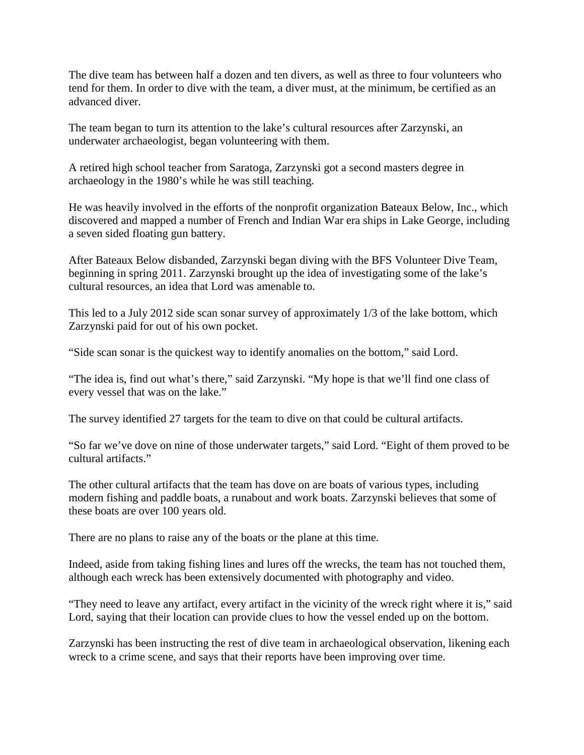The dive team has between half a dozen and ten divers, as well as three to four volunteers who tend for them. In order to dive with the team, a diver must, at the minimum, be certified as an advanced diver.

The team began to turn its attention to the lake's cultural resources after Zarzynski, an underwater archaeologist, began volunteering with them.

A retired high school teacher from Saratoga, Zarzynski got a second masters degree in archaeology in the 1980's while he was still teaching.

He was heavily involved in the efforts of the nonprofit organization Bateaux Below, Inc., which discovered and mapped a number of French and Indian War era ships in Lake George, including a seven sided floating gun battery.

After Bateaux Below disbanded, Zarzynski began diving with the BFS Volunteer Dive Team, beginning in spring 2011. Zarzynski brought up the idea of investigating some of the lake's cultural resources, an idea that Lord was amenable to.

This led to a July 2012 side scan sonar survey of approximately 1/3 of the lake bottom, which Zarzynski paid for out of his own pocket.

"Side scan sonar is the quickest way to identify anomalies on the bottom," said Lord.

"The idea is, find out what's there," said Zarzynski. "My hope is that we'll find one class of every vessel that was on the lake."

The survey identified 27 targets for the team to dive on that could be cultural artifacts.

"So far we've dove on nine of those underwater targets," said Lord. "Eight of them proved to be cultural artifacts."

The other cultural artifacts that the team has dove on are boats of various types, including modern fishing and paddle boats, a runabout and work boats. Zarzynski believes that some of these boats are over 100 years old.

There are no plans to raise any of the boats or the plane at this time.

Indeed, aside from taking fishing lines and lures off the wrecks, the team has not touched them, although each wreck has been extensively documented with photography and video.

"They need to leave any artifact, every artifact in the vicinity of the wreck right where it is," said Lord, saying that their location can provide clues to how the vessel ended up on the bottom.

Zarzynski has been instructing the rest of dive team in archaeological observation, likening each wreck to a crime scene, and says that their reports have been improving over time.